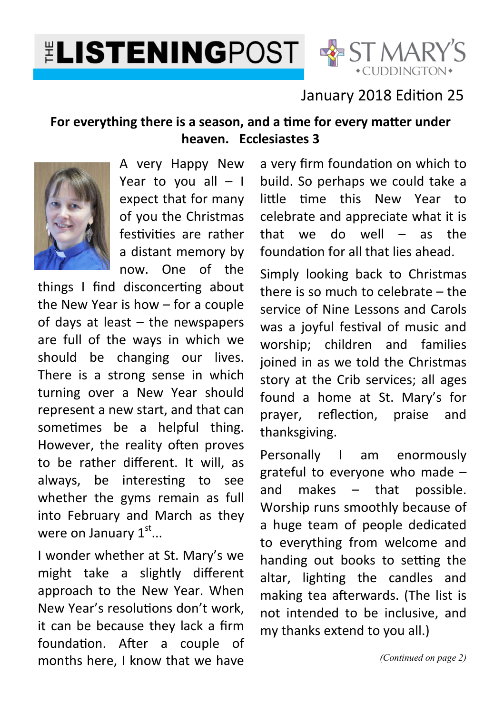# **ELISTENINGPOST & ST MARY'S**



#### January 2018 Edition 25

#### For everything there is a season, and a time for every matter under **heaven. Ecclesiastes 3**



A very Happy New Year to you all  $-1$ expect that for many of you the Christmas festivities are rather a distant memory by now. One of the

things  $I$  find disconcerting about the New Year is how – for a couple of days at least – the newspapers are full of the ways in which we should be changing our lives. There is a strong sense in which turning over a New Year should represent a new start, and that can sometimes be a helpful thing. However, the reality often proves to be rather different. It will, as always, be interesting to see whether the gyms remain as full into February and March as they were on January  $1^{\text{st}}...$ 

I wonder whether at St. Mary's we might take a slightly different approach to the New Year. When New Year's resolutions don't work. it can be because they lack a firm foundation. After a couple of months here, I know that we have

a very firm foundation on which to build. So perhaps we could take a little time this New Year to celebrate and appreciate what it is that we do well – as the foundation for all that lies ahead.

Simply looking back to Christmas there is so much to celebrate – the service of Nine Lessons and Carols was a joyful festival of music and worship; children and families joined in as we told the Christmas story at the Crib services; all ages found a home at St. Mary's for prayer, reflection, praise and thanksgiving.

Personally I am enormously grateful to everyone who made – and makes – that possible. Worship runs smoothly because of a huge team of people dedicated to everything from welcome and handing out books to setting the altar, lighting the candles and making tea afterwards. (The list is not intended to be inclusive, and my thanks extend to you all.)

*(Continued on page 2)*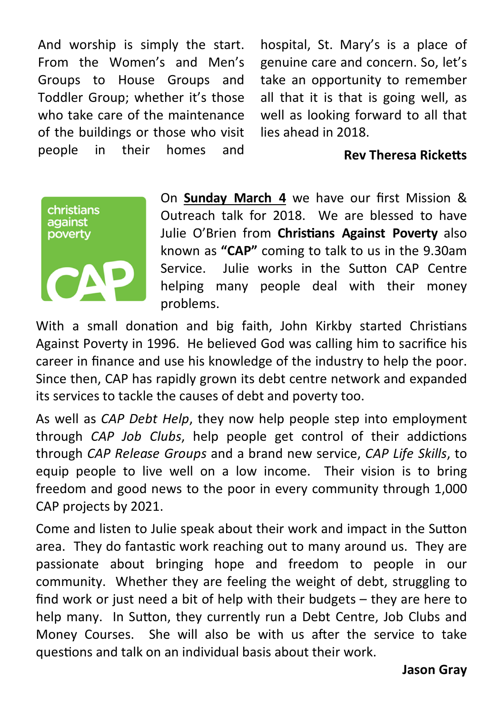And worship is simply the start. From the Women's and Men's Groups to House Groups and Toddler Group; whether it's those who take care of the maintenance of the buildings or those who visit people in their homes and

hospital, St. Mary's is a place of genuine care and concern. So, let's take an opportunity to remember all that it is that is going well, as well as looking forward to all that lies ahead in 2018.

#### **Rev Theresa Ricketts**



On **Sunday March 4** we have our first Mission & Outreach talk for 2018. We are blessed to have Julie O'Brien from **Christians Against Poverty** also known as **"CAP"** coming to talk to us in the 9.30am Service. Julie works in the Sutton CAP Centre helping many people deal with their money problems.

With a small donation and big faith, John Kirkby started Christians Against Poverty in 1996. He believed God was calling him to sacrifice his career in finance and use his knowledge of the industry to help the poor. Since then, CAP has rapidly grown its debt centre network and expanded its services to tackle the causes of debt and poverty too.

As well as *CAP Debt Help*, they now help people step into employment through *CAP Job Clubs*, help people get control of their addictions through *CAP Release Groups* and a brand new service, *CAP Life Skills*, to equip people to live well on a low income. Their vision is to bring freedom and good news to the poor in every community through 1,000 CAP projects by 2021.

Come and listen to Julie speak about their work and impact in the Sutton area. They do fantastic work reaching out to many around us. They are passionate about bringing hope and freedom to people in our community. Whether they are feeling the weight of debt, struggling to find work or just need a bit of help with their budgets – they are here to help many. In Sutton, they currently run a Debt Centre, Job Clubs and Money Courses. She will also be with us after the service to take questions and talk on an individual basis about their work.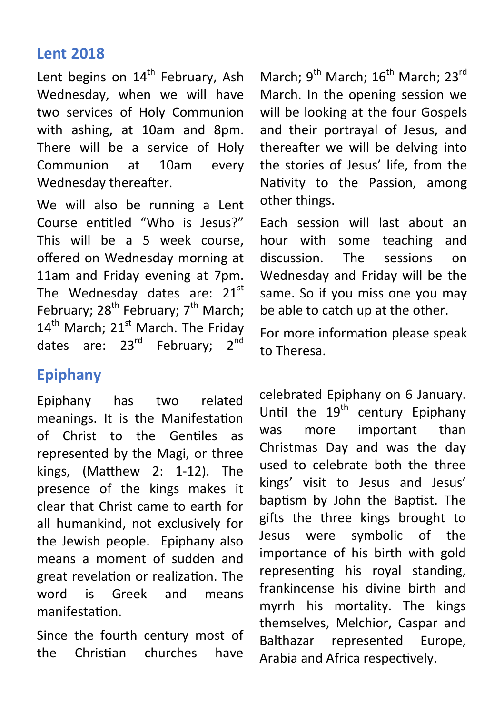#### **Lent 2018**

Lent begins on  $14<sup>th</sup>$  February, Ash Wednesday, when we will have two services of Holy Communion with ashing, at 10am and 8pm. There will be a service of Holy Communion at 10am every Wednesday thereafter.

We will also be running a Lent Course entitled "Who is Jesus?" This will be a 5 week course, offered on Wednesday morning at 11am and Friday evening at 7pm. The Wednesday dates are:  $21^{st}$ February; 28<sup>th</sup> February; 7<sup>th</sup> March;  $14<sup>th</sup>$  March;  $21<sup>st</sup>$  March. The Friday dates are: 23<sup>rd</sup> February: 2<sup>nd</sup>

# **Epiphany**

Epiphany has two related meanings. It is the Manifestation of Christ to the Gentiles as represented by the Magi, or three kings,  $(Mat$ thew 2: 1-12). The presence of the kings makes it clear that Christ came to earth for all humankind, not exclusively for the Jewish people. Epiphany also means a moment of sudden and great revelation or realization. The word is Greek and means manifestation.

Since the fourth century most of the Christian churches have

March; 9<sup>th</sup> March; 16<sup>th</sup> March; 23<sup>rd</sup> March. In the opening session we will be looking at the four Gospels and their portrayal of Jesus, and thereafter we will be delving into the stories of Jesus' life, from the Nativity to the Passion, among other things.

Each session will last about an hour with some teaching and discussion. The sessions on Wednesday and Friday will be the same. So if you miss one you may be able to catch up at the other.

For more information please speak to Theresa.

celebrated Epiphany on 6 January. Until the  $19^{th}$  century Epiphany was more important than Christmas Day and was the day used to celebrate both the three kings' visit to Jesus and Jesus' baptism by John the Baptist. The gifts the three kings brought to Jesus were symbolic of the importance of his birth with gold representing his royal standing, frankincense his divine birth and myrrh his mortality. The kings themselves, Melchior, Caspar and Balthazar represented Europe, Arabia and Africa respectively.